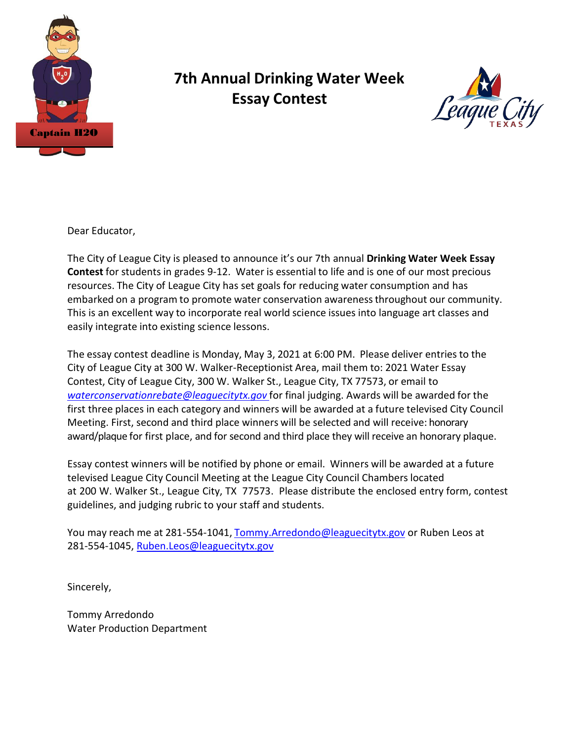

### **7th Annual Drinking Water Week Essay Contest**



Dear Educator,

The City of League City is pleased to announce it's our 7th annual **Drinking Water Week Essay Contest** for students in grades 9-12. Water is essential to life and is one of our most precious resources. The City of League City has set goals for reducing water consumption and has embarked on a program to promote water conservation awarenessthroughout our community. This is an excellent way to incorporate real world science issues into language art classes and easily integrate into existing science lessons.

The essay contest deadline is Monday, May 3, 2021 at 6:00 PM. Please deliver entries to the City of League City at 300 W. Walker-Receptionist Area, mail them to: 2021 Water Essay Contest, City of League City, 300 W. Walker St., League City, TX 77573, or email to *waterconservationrebate@leaguecitytx.gov* for final judging. Awards will be awarded for the first three places in each category and winners will be awarded at a future televised City Council Meeting. First, second and third place winners will be selected and will receive: honorary award/plaque for first place, and for second and third place they will receive an honorary plaque.

Essay contest winners will be notified by phone or email. Winners will be awarded at a future televised League City Council Meeting at the League City Council Chambers located at 200 W. Walker St., League City, TX 77573. Please distribute the enclosed entry form, contest guidelines, and judging rubric to your staff and students.

You may reach me at 281-554-1041, Tommy.Arredondo@leaguecitytx.gov or Ruben Leos at 281-554-1045, Ruben.Leos@leaguecitytx.gov

Sincerely,

Tommy Arredondo Water Production Department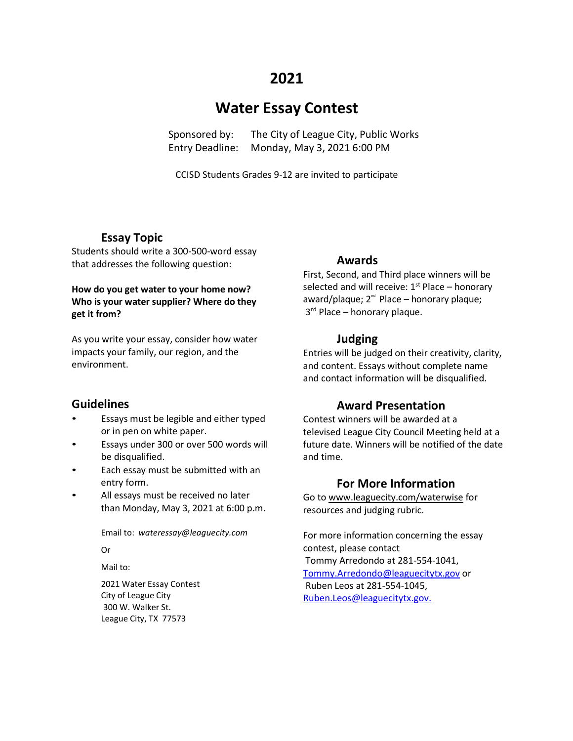### **2021**

### **Water Essay Contest**

Sponsored by: The City of League City, Public Works Entry Deadline: Monday, May 3, 2021 6:00 PM

CCISD Students Grades 9-12 are invited to participate

#### **Essay Topic**

Students should write a 300-500-word essay that addresses the following question:

#### **How do you get water to your home now? Who is your water supplier? Where do they get it from?**

As you write your essay, consider how water impacts your family, our region, and the environment.

#### **Guidelines**

- Essays must be legible and either typed or in pen on white paper.
- Essays under 300 or over 500 words will be disqualified.
- Each essay must be submitted with an entry form.
- All essays must be received no later than Monday, May 3, 2021 at 6:00 p.m.

Email to: *[wateressay@leaguecity.com](mailto:wateressay@leaguecity.com)*

Or

Mail to:

2021 Water Essay Contest City of League City 300 W. Walker St. League City, TX 77573

#### **Awards**

First, Second, and Third place winners will be selected and will receive:  $1<sup>st</sup>$  Place – honorary award/plaque;  $2^{nd}$  Place – honorary plaque;  $3<sup>rd</sup>$  Place – honorary plaque.

#### **Judging**

Entries will be judged on their creativity, clarity, and content. Essays without complete name and contact information will be disqualified.

#### **Award Presentation**

Contest winners will be awarded at a televised League City Council Meeting held at a future date. Winners will be notified of the date and time.

#### **For More Information**

Go to [www.leaguecity.com/waterwise](http://www.leaguecity.com/waterwise) for resources and judging rubric.

For more information concerning the essay contest, please contact Tommy Arredondo at 281-554-1041, [Tommy.Arredondo@leaguecitytx.gov](mailto:Tommy.Arredondo@leaguecitytx.gov) or Ruben Leos at 281-554-1045, [Ruben.Leos@leaguecitytx.gov.](mailto:Ruben.Leos@leaguecitytx.gov.)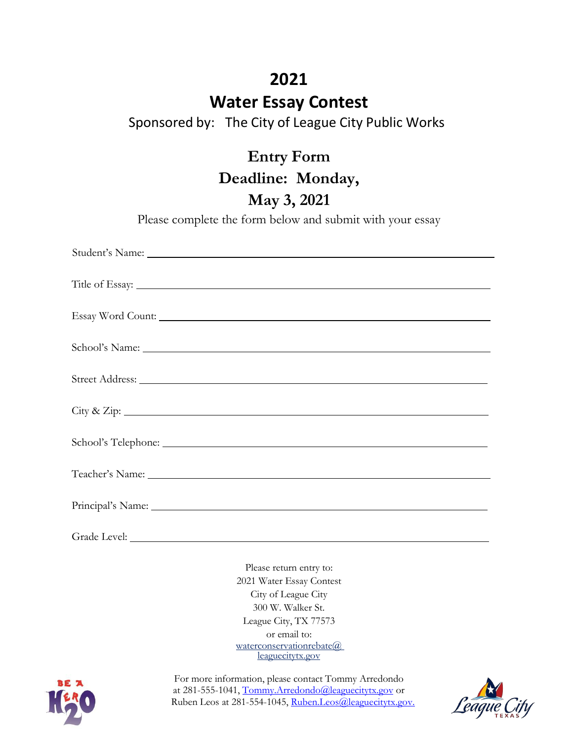## **2021**

## **Water Essay Contest**

Sponsored by: The City of League City Public Works

**Entry Form Deadline: Monday,**

**May 3, 2021**

Please complete the form below and submit with your essay

| Student's Name: Name:        |
|------------------------------|
|                              |
| Essay Word Count:            |
|                              |
|                              |
| $\operatorname{City}$ & Zip: |
|                              |
| Teacher's Name: Name:        |
|                              |
| Grade Level:                 |

Please return entry to: 2021 Water Essay Contest City of League City 300 W. Walker St. League City, TX 77573 or email to: [waterconservationrebate@](mailto:waterconservationrebate@leaguecitytx.gov) leaguecitytx.gov



For more information, please contact Tommy Arredondo at 281-555-1041, Tommy.Arredondo@leaguecitytx.gov or Ruben Leos at 281-554-1045, [Ruben.Leos@leaguecitytx.gov.](mailto:Ruben.Leos@leaguecitytx.gov)